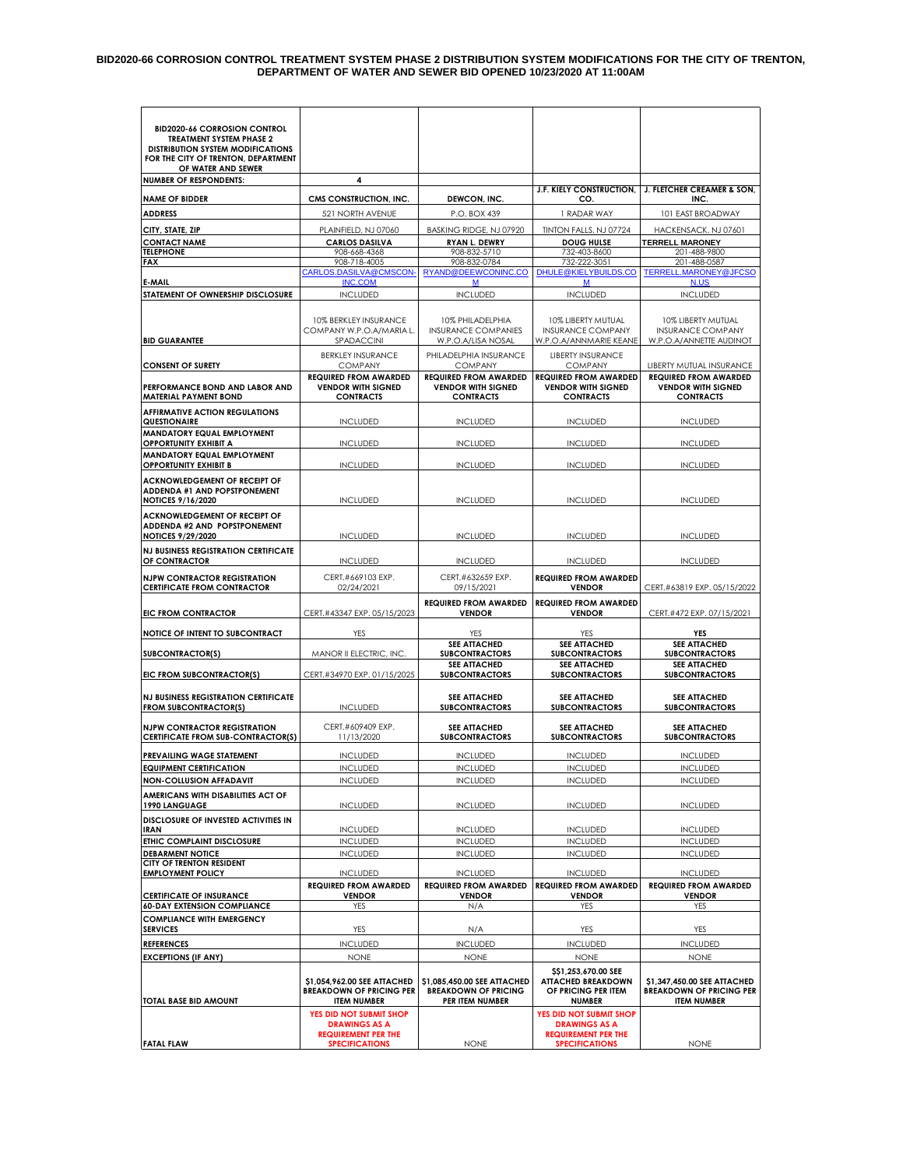#### **BID2020-66 CORROSION CONTROL TREATMENT SYSTEM PHASE 2 DISTRIBUTION SYSTEM MODIFICATIONS FOR THE CITY OF TRENTON, DEPARTMENT OF WATER AND SEWER BID OPENED 10/23/2020 AT 11:00AM**

| <b>BID2020-66 CORROSION CONTROL</b>                                                      |                                                                |                                                                      |                                                                          |                                                                           |
|------------------------------------------------------------------------------------------|----------------------------------------------------------------|----------------------------------------------------------------------|--------------------------------------------------------------------------|---------------------------------------------------------------------------|
| <b>TREATMENT SYSTEM PHASE 2</b>                                                          |                                                                |                                                                      |                                                                          |                                                                           |
| <b>DISTRIBUTION SYSTEM MODIFICATIONS</b><br>FOR THE CITY OF TRENTON, DEPARTMENT          |                                                                |                                                                      |                                                                          |                                                                           |
| OF WATER AND SEWER<br><b>NUMBER OF RESPONDENTS:</b>                                      | 4                                                              |                                                                      |                                                                          |                                                                           |
| <b>NAME OF BIDDER</b>                                                                    | CMS CONSTRUCTION, INC.                                         | <b>DEWCON, INC</b>                                                   | <b>J.F. KIELY CONSTRUCTION,</b><br>CO.                                   | <b>J. FLETCHER CREAMER &amp; SON,</b><br><b>INC</b>                       |
| <b>ADDRESS</b>                                                                           | 521 NORTH AVENUE                                               | P.O. BOX 439                                                         | 1 RADAR WAY                                                              | 101 EAST BROADWAY                                                         |
| CITY, STATE, ZIP                                                                         | PLAINFIELD, NJ 07060                                           | BASKING RIDGE, NJ 07920                                              | TINTON FALLS, NJ 07724                                                   | HACKENSACK, NJ 07601                                                      |
| <b>CONTACT NAME</b><br><b>TELEPHONE</b>                                                  | <b>CARLOS DASILVA</b><br>908-668-4368                          | RYAN L. DEWRY<br>908-832-5710                                        | <b>DOUG HULSE</b><br>732-403-8600                                        | <b>TERRELL MARONEY</b><br>201-488-9800                                    |
| FAX                                                                                      | 908-718-4005                                                   | 908-832-0784                                                         | 732-222-3051                                                             | 201-488-0587                                                              |
| E-MAIL                                                                                   | CARLOS.DASILVA@CMSCON-<br><b>INC.COM</b>                       | RYAND@DEEWCONINC.CO<br>М                                             | DHULE@KIELYBUILDS.CO<br>м                                                | TERRELL.MARONEY@JFCSO<br>N.US                                             |
| STATEMENT OF OWNERSHIP DISCLOSURE                                                        | <b>INCLUDED</b>                                                | <b>INCLUDED</b>                                                      | <b>INCLUDED</b>                                                          | <b>INCLUDED</b>                                                           |
|                                                                                          |                                                                |                                                                      |                                                                          |                                                                           |
| <b>BID GUARANTEE</b>                                                                     | 10% BERKLEY INSURANCE<br>COMPANY W.P.O.A/MARIA L<br>SPADACCINI | 10% PHILADELPHIA<br><b>INSURANCE COMPANIES</b><br>W.P.O.A/LISA NOSAL | 10% LIBERTY MUTUAL<br><b>INSURANCE COMPANY</b><br>W.P.O.A/ANNMARIE KEANE | 10% LIBERTY MUTUAL<br><b>INSURANCE COMPANY</b><br>W.P.O.A/ANNETTE AUDINOT |
|                                                                                          | <b>BERKLEY INSURANCE</b>                                       | PHILADELPHIA INSURANCE                                               | <b>LIBERTY INSURANCE</b>                                                 |                                                                           |
| <b>CONSENT OF SURETY</b>                                                                 | <b>COMPANY</b><br><b>REQUIRED FROM AWARDED</b>                 | <b>COMPANY</b><br><b>REQUIRED FROM AWARDED</b>                       | <b>COMPANY</b><br><b>REQUIRED FROM AWARDED</b>                           | LIBERTY MUTUAL INSURANCE<br><b>REQUIRED FROM AWARDED</b>                  |
| PERFORMANCE BOND AND LABOR AND<br><b>MATERIAL PAYMENT BOND</b>                           | <b>VENDOR WITH SIGNED</b><br><b>CONTRACTS</b>                  | <b>VENDOR WITH SIGNED</b><br><b>CONTRACTS</b>                        | <b>VENDOR WITH SIGNED</b><br><b>CONTRACTS</b>                            | <b>VENDOR WITH SIGNED</b><br><b>CONTRACTS</b>                             |
| <b>AFFIRMATIVE ACTION REGULATIONS</b><br>QUESTIONAIRE                                    | <b>INCLUDED</b>                                                | <b>INCLUDED</b>                                                      | <b>INCLUDED</b>                                                          | <b>INCLUDED</b>                                                           |
| <b>MANDATORY EQUAL EMPLOYMENT</b><br><b>OPPORTUNITY EXHIBIT A</b>                        | <b>INCLUDED</b>                                                | <b>INCLUDED</b>                                                      | <b>INCLUDED</b>                                                          | <b>INCLUDED</b>                                                           |
| <b>MANDATORY EQUAL EMPLOYMENT</b><br><b>OPPORTUNITY EXHIBIT B</b>                        | <b>INCLUDED</b>                                                | <b>INCLUDED</b>                                                      | <b>INCLUDED</b>                                                          | <b>INCLUDED</b>                                                           |
| <b>ACKNOWLEDGEMENT OF RECEIPT OF</b>                                                     |                                                                |                                                                      |                                                                          |                                                                           |
| <b>ADDENDA #1 AND POPSTPONEMENT</b><br><b>NOTICES 9/16/2020</b>                          | <b>INCLUDED</b>                                                | <b>INCLUDED</b>                                                      | <b>INCLUDED</b>                                                          | <b>INCLUDED</b>                                                           |
| <b>ACKNOWLEDGEMENT OF RECEIPT OF</b><br>ADDENDA #2 AND POPSTPONEMENT                     |                                                                |                                                                      |                                                                          |                                                                           |
| <b>NOTICES 9/29/2020</b><br><b>NJ BUSINESS REGISTRATION CERTIFICATE</b><br>OF CONTRACTOR | <b>INCLUDED</b><br><b>INCLUDED</b>                             | <b>INCLUDED</b><br><b>INCLUDED</b>                                   | <b>INCLUDED</b><br><b>INCLUDED</b>                                       | <b>INCLUDED</b><br><b>INCLUDED</b>                                        |
| <b>NJPW CONTRACTOR REGISTRATION</b>                                                      | CERT.#669103 EXP.                                              | CERT.#632659 EXP.                                                    | <b>REQUIRED FROM AWARDED</b>                                             |                                                                           |
| <b>CERTIFICATE FROM CONTRACTOR</b>                                                       | 02/24/2021                                                     | 09/15/2021                                                           | <b>VENDOR</b>                                                            | CERT.#63819 EXP. 05/15/2022                                               |
| <b>EIC FROM CONTRACTOR</b>                                                               | CERT.#43347 EXP. 05/15/2023                                    | <b>REQUIRED FROM AWARDED</b><br><b>VENDOR</b>                        | <b>REQUIRED FROM AWARDED</b><br><b>VENDOR</b>                            | CERT.#472 EXP. 07/15/2021                                                 |
| NOTICE OF INTENT TO SUBCONTRACT                                                          | YES                                                            | YES                                                                  | YES                                                                      | YES                                                                       |
| SUBCONTRACTOR(S)                                                                         | <b>MANOR II ELECTRIC, INC.</b>                                 | <b>SEE ATTACHED</b><br><b>SUBCONTRACTORS</b>                         | <b>SEE ATTACHED</b><br><b>SUBCONTRACTORS</b>                             | SEE ATTACHED<br><b>SUBCONTRACTORS</b>                                     |
| EIC FROM SUBCONTRACTOR(S)                                                                | CERT.#34970 EXP. 01/15/2025                                    | <b>SEE ATTACHED</b><br><b>SUBCONTRACTORS</b>                         | <b>SEE ATTACHED</b><br><b>SUBCONTRACTORS</b>                             | <b>SEE ATTACHED</b><br><b>SUBCONTRACTORS</b>                              |
| <b>NJ BUSINESS REGISTRATION CERTIFICATE</b>                                              |                                                                | <b>SEE ATTACHED</b>                                                  | <b>SEE ATTACHED</b>                                                      | SEE ATTACHED                                                              |
| <b>FROM SUBCONTRACTOR(S)</b>                                                             | <b>INCLUDED</b>                                                | <b>SUBCONTRACTORS</b>                                                | <b>SUBCONTRACTORS</b>                                                    | <b>SUBCONTRACTORS</b>                                                     |
| <b>NJPW CONTRACTOR REGISTRATION</b><br><b>CERTIFICATE FROM SUB-CONTRACTOR(S)</b>         | CERT.#609409 EXP.<br>11/13/2020                                | <b>SEE ATTACHED</b><br><b>SUBCONTRACTORS</b>                         | <b>SEE ATTACHED</b><br><b>SUBCONTRACTORS</b>                             | <b>SEE ATTACHED</b><br><b>SUBCONTRACTORS</b>                              |
| PREVAILING WAGE STATEMENT                                                                | <b>INCLUDED</b>                                                | <b>INCLUDED</b>                                                      | <b>INCLUDED</b>                                                          | <b>INCLUDED</b>                                                           |
| <b>EQUIPMENT CERTIFICATION</b>                                                           | INCLUDED                                                       | INCLUDEL                                                             | <b>INCLUDEL</b>                                                          | INCLUDED                                                                  |
| <b>NON-COLLUSION AFFADAVIT</b><br><b>AMERICANS WITH DISABILITIES ACT OF</b>              | <b>INCLUDED</b>                                                | <b>INCLUDED</b>                                                      | <b>INCLUDED</b>                                                          | <b>INCLUDED</b>                                                           |
| 1990 LANGUAGE                                                                            | <b>INCLUDED</b>                                                | <b>INCLUDED</b>                                                      | <b>INCLUDED</b>                                                          | <b>INCLUDED</b>                                                           |
| <b>DISCLOSURE OF INVESTED ACTIVITIES IN</b><br><b>IRAN</b>                               | <b>INCLUDED</b>                                                | <b>INCLUDED</b>                                                      | <b>INCLUDED</b>                                                          | <b>INCLUDED</b>                                                           |
| ETHIC COMPLAINT DISCLOSURE                                                               | <b>INCLUDED</b>                                                | <b>INCLUDED</b>                                                      | <b>INCLUDED</b>                                                          | <b>INCLUDED</b>                                                           |
| <b>DEBARMENT NOTICE</b><br>CITY OF TRENTON RESIDENT                                      | <b>INCLUDED</b>                                                | <b>INCLUDED</b>                                                      | <b>INCLUDED</b>                                                          | <b>INCLUDED</b>                                                           |
| <b>EMPLOYMENT POLICY</b>                                                                 | <b>INCLUDED</b>                                                | <b>INCLUDED</b>                                                      | <b>INCLUDED</b>                                                          | <b>INCLUDED</b>                                                           |
| <b>CERTIFICATE OF INSURANCE</b>                                                          | <b>REQUIRED FROM AWARDED</b><br><b>VENDOR</b>                  | <b>REQUIRED FROM AWARDED</b><br><b>VENDOR</b>                        | <b>REQUIRED FROM AWARDED</b><br><b>VENDOR</b>                            | <b>REQUIRED FROM AWARDED</b><br><b>VENDOR</b>                             |
| <b>60-DAY EXTENSION COMPLIANCE</b>                                                       | <b>YES</b>                                                     | N/A                                                                  | <b>YES</b>                                                               | YES                                                                       |
| <b>COMPLIANCE WITH EMERGENCY</b><br><b>SERVICES</b>                                      | <b>YES</b>                                                     | N/A                                                                  | YES                                                                      | <b>YES</b>                                                                |
| <b>REFERENCES</b>                                                                        | <b>INCLUDED</b>                                                | <b>INCLUDED</b>                                                      | <b>INCLUDED</b>                                                          | <b>INCLUDED</b>                                                           |
| <b>EXCEPTIONS (IF ANY)</b>                                                               | <b>NONE</b>                                                    | <b>NONE</b>                                                          | <b>NONE</b>                                                              | <b>NONE</b>                                                               |
|                                                                                          | \$1,054,962.00 SEE ATTACHED                                    | \$1,085,450.00 SEE ATTACHED                                          | \$\$1,253,670.00 SEE<br><b>ATTACHED BREAKDOWN</b>                        | \$1,347,450.00 SEE ATTACHED                                               |
| TOTAL BASE BID AMOUNT                                                                    | <b>BREAKDOWN OF PRICING PER</b><br><b>ITEM NUMBER</b>          | <b>BREAKDOWN OF PRICING</b><br>PER ITEM NUMBER                       | OF PRICING PER ITEM<br><b>NUMBER</b>                                     | <b>BREAKDOWN OF PRICING PER</b><br><b>ITEM NUMBER</b>                     |
|                                                                                          | YES DID NOT SUBMIT SHOP                                        |                                                                      | YES DID NOT SUBMIT SHOP                                                  |                                                                           |
|                                                                                          | <b>DRAWINGS AS A</b><br><b>REQUIREMENT PER THE</b>             |                                                                      | <b>DRAWINGS AS A</b><br><b>REQUIREMENT PER THE</b>                       |                                                                           |
| <b>FATAL FLAW</b>                                                                        | <b>SPECIFICATIONS</b>                                          | <b>NONE</b>                                                          | <b>SPECIFICATIONS</b>                                                    | <b>NONE</b>                                                               |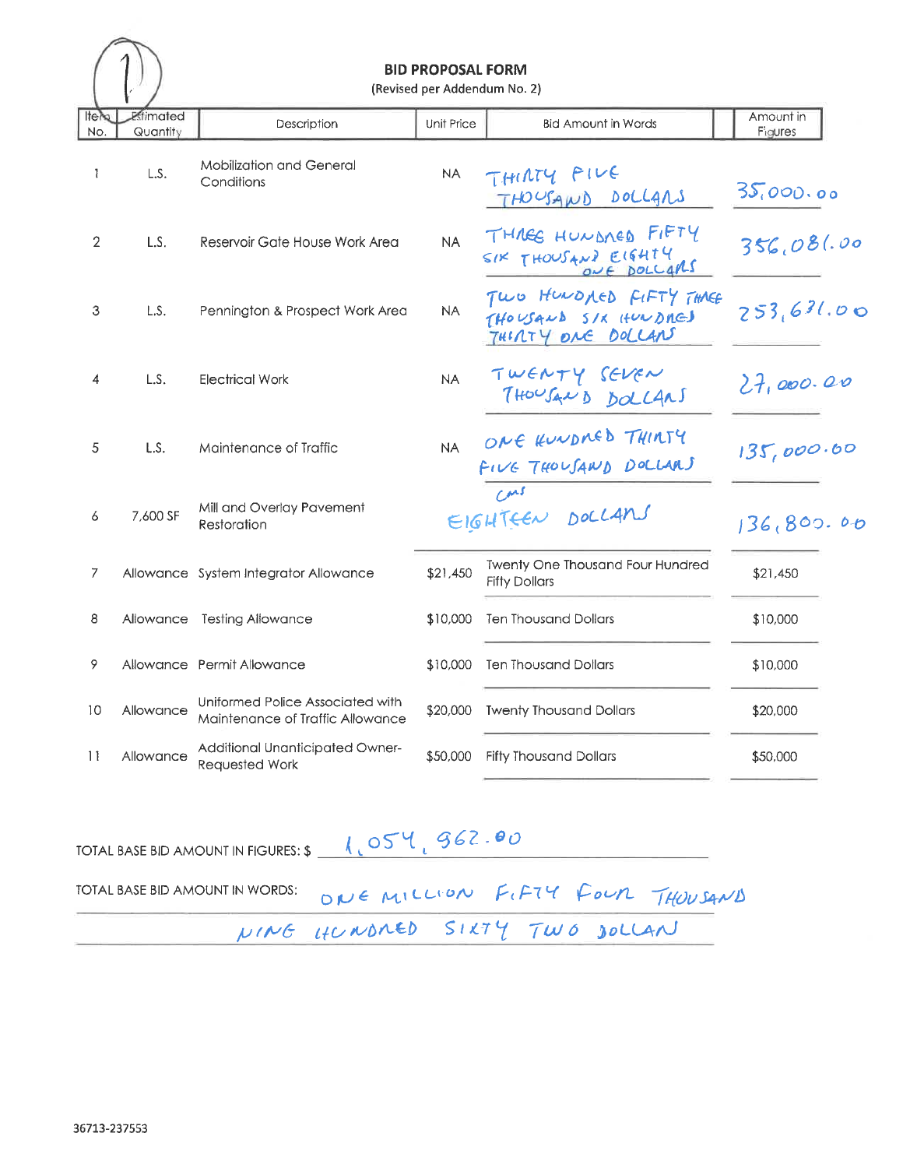#### **BID PROPOSAL FORM**

(Revised per Addendum No. 2)  $\overline{1}$ 

| Itely<br>No.   | Estimated<br>Quantity | Description                                                          | Unit Price | <b>Bid Amount in Words</b>                                            | Amount in<br>Figures |
|----------------|-----------------------|----------------------------------------------------------------------|------------|-----------------------------------------------------------------------|----------------------|
| 1              | L.S.                  | <b>Mobilization and General</b><br>Conditions                        | <b>NA</b>  | THIRTY FIVE<br>THOUSAND DOLLARS                                       | 35,000.00            |
| $\overline{2}$ | L.S.                  | Reservoir Gate House Work Area                                       | <b>NA</b>  | THREE HUNDRED FIFTY<br>SIX THOUSAND EIGHTY                            | 356,081.00           |
| 3              | L.S.                  | Pennington & Prospect Work Area                                      | <b>NA</b>  | TWO HUNDAED FIFTY THREE<br>THOUSAND SIX HUNDRED<br>THIRTY ONE DOLLANT | 253,631.00           |
| 4              | L.S.                  | <b>Electrical Work</b>                                               | <b>NA</b>  | TWENTY SEVEN<br>THOUSAND DOLLANS                                      | 27,000.00            |
| 5              | L.S.                  | Maintenance of Traffic                                               | <b>NA</b>  | ONE KUNDMED THINTY<br>FIVE THOUSAND DOLLARS                           | 135,000.60           |
| 6              | 7,600 SF              | Mill and Overlay Pavement<br>Restoration                             |            | $C^{\mu\beta}$<br>EIGHTEEN DOLLANS                                    | 136,800.00           |
| 7              |                       | Allowance System Integrator Allowance                                | \$21,450   | Twenty One Thousand Four Hundred<br><b>Fifty Dollars</b>              | \$21,450             |
| 8              |                       | Allowance Testing Allowance                                          | \$10,000   | <b>Ten Thousand Dollars</b>                                           | \$10,000             |
| 9              |                       | Allowance Permit Allowance                                           | \$10,000   | <b>Ten Thousand Dollars</b>                                           | \$10,000             |
| 10             | Allowance             | Uniformed Police Associated with<br>Maintenance of Traffic Allowance | \$20,000   | <b>Twenty Thousand Dollars</b>                                        | \$20,000             |
| 11             | Allowance             | Additional Unanticipated Owner-<br>Requested Work                    | \$50,000   | <b>Fifty Thousand Dollars</b>                                         | \$50,000             |

TOTAL BASE BID AMOUNT IN FIGURES:  $\frac{1054}{962}$ TOTAL BASE BID AMOUNT IN WORDS: ONE MILLION FIFTY FOUR THOUSAND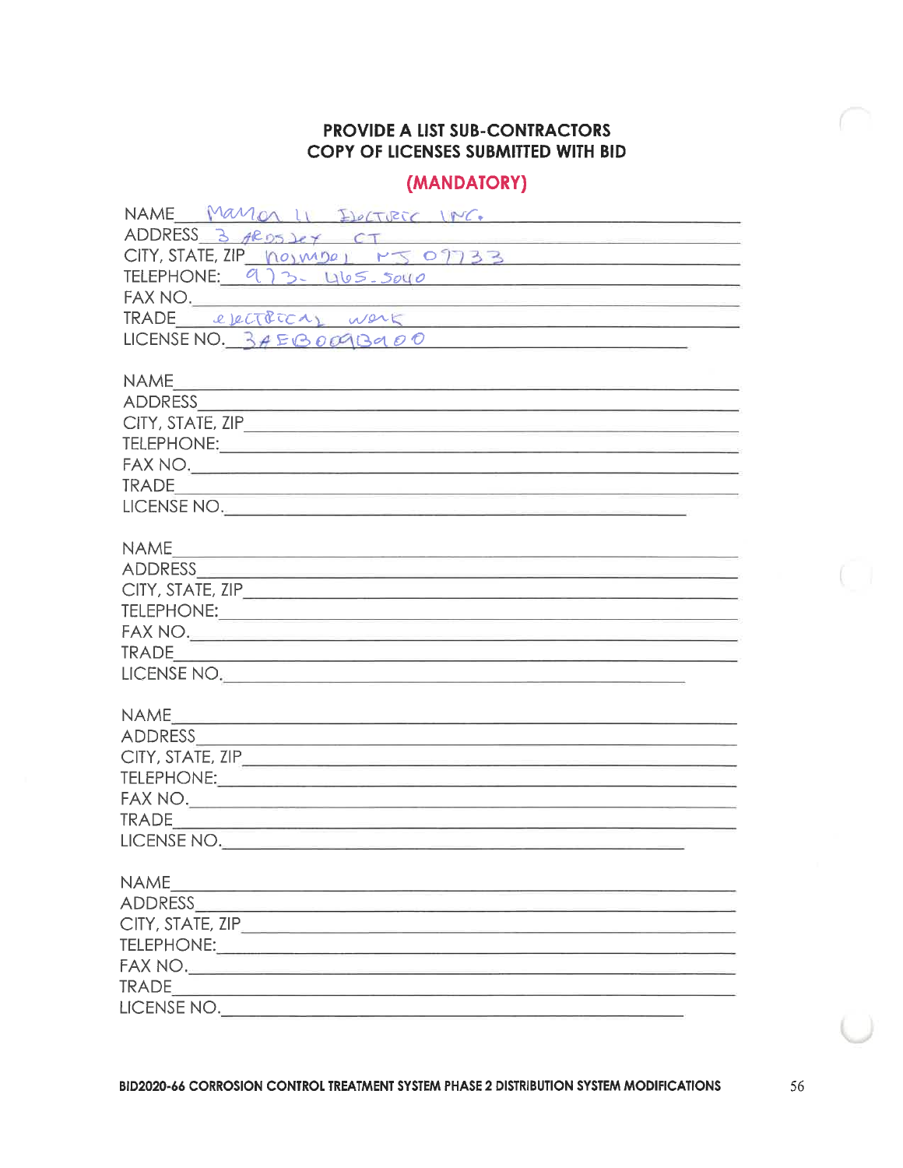# (MANDATORY)

| NAME Manan II ELECTRIC INC.                                                                                    |
|----------------------------------------------------------------------------------------------------------------|
| ADDRESS $3$ $4R95$ $2e$ $7$                                                                                    |
| CITY, STATE, ZIP norms $P_{S}$ of 33                                                                           |
| TELEPHONE: 973. 465.5040                                                                                       |
|                                                                                                                |
| FAX NO.<br>TRADE electrica, work                                                                               |
| LICENSE NO. $3A EBOOQBAOO$                                                                                     |
|                                                                                                                |
|                                                                                                                |
|                                                                                                                |
|                                                                                                                |
|                                                                                                                |
|                                                                                                                |
|                                                                                                                |
| LICENSE NO.                                                                                                    |
|                                                                                                                |
|                                                                                                                |
|                                                                                                                |
|                                                                                                                |
|                                                                                                                |
|                                                                                                                |
|                                                                                                                |
| LICENSE NO.                                                                                                    |
|                                                                                                                |
|                                                                                                                |
|                                                                                                                |
|                                                                                                                |
|                                                                                                                |
|                                                                                                                |
|                                                                                                                |
| LICENSE NO.                                                                                                    |
|                                                                                                                |
| <b>NAME</b>                                                                                                    |
| ADDRESS AND ARREST AND A RESIDENCE AND A RESIDENCE OF A RESIDENCE OF A REPORT OF A REPORT OF A REPORT OF A REP |
| CITY, STATE, ZIP____________________________                                                                   |
|                                                                                                                |
|                                                                                                                |
| <b>TRADE</b><br><u> 1989 - Johann Barn, mars eta biztanleria eta inperio</u>                                   |
| LICENSE NO.                                                                                                    |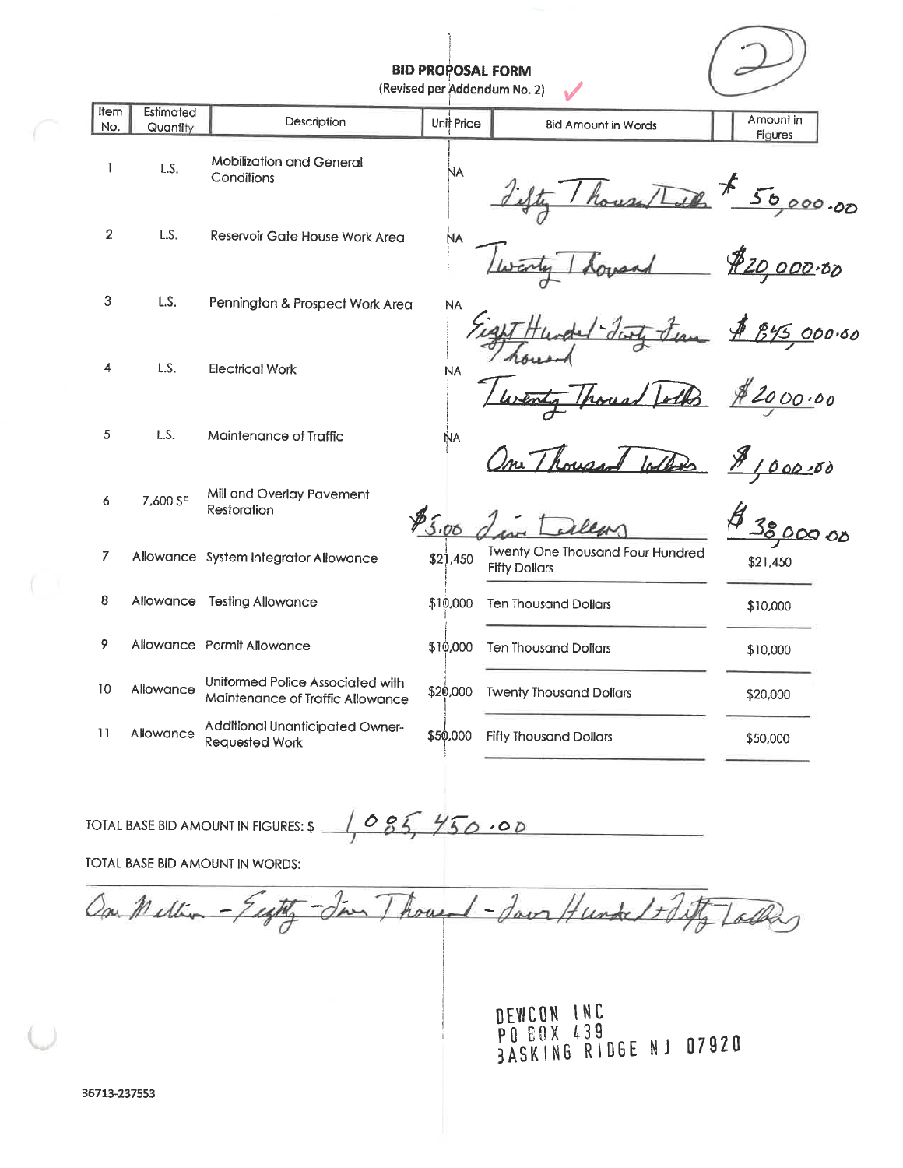**BID PROPOSAL FORM** 

(Revised per Addendum No. 2)

| Item<br>No.    | Estimated<br>Quantity | Description                                                          | Unit Price | <b>Bid Amount in Words</b>                                      | Amount in                   |
|----------------|-----------------------|----------------------------------------------------------------------|------------|-----------------------------------------------------------------|-----------------------------|
| 1              | L.S.                  | <b>Mobilization and General</b><br>Conditions                        | NA.        |                                                                 | Figures<br>50000.00         |
| $\overline{2}$ | L.S.                  | Reservoir Gate House Work Area                                       | ŃА         |                                                                 | \$20,000.00                 |
| 3              | L.S.                  | Pennington & Prospect Work Area                                      | <b>NA</b>  |                                                                 | 845 000.00                  |
| 4              | L.S.                  | <b>Electrical Work</b>                                               | <b>NA</b>  |                                                                 | 2000.00                     |
| 5              | L.S.                  | Maintenance of Traffic                                               | ŃΑ         |                                                                 | 000.00                      |
| 6              | 7,600 SF              | Mill and Overlay Pavement<br>Restoration                             | 8500       |                                                                 | $\mathcal{Z}_{\mathcal{O}}$ |
| 7              |                       | Allowance System Integrator Allowance                                | \$21,450   | <b>Twenty One Thousand Four Hundred</b><br><b>Fifty Dollars</b> | \$21,450                    |
| 8              |                       | Allowance Testing Allowance                                          | \$10,000   | <b>Ten Thousand Dollars</b>                                     | \$10,000                    |
| 9              |                       | Allowance Permit Allowance                                           | \$10,000   | <b>Ten Thousand Dollars</b>                                     | \$10,000                    |
| 10             | Allowance             | Uniformed Police Associated with<br>Maintenance of Traffic Allowance | \$20,000   | <b>Twenty Thousand Dollars</b>                                  | \$20,000                    |
| 11             | Allowance             | Additional Unanticipated Owner-<br>Requested Work                    | \$50,000   | <b>Fifty Thousand Dollars</b>                                   | \$50,000                    |

 $1085,450.00$ TOTAL BASE BID AMOUNT IN FIGURES: \$

TOTAL BASE BID AMOUNT IN WORDS:

In Thought - Jaun Hunder 1+ Tifty Talkey One Meller

DEWCON INC<br>PO EOX 439<br>BASKING RIDGE NJ 07920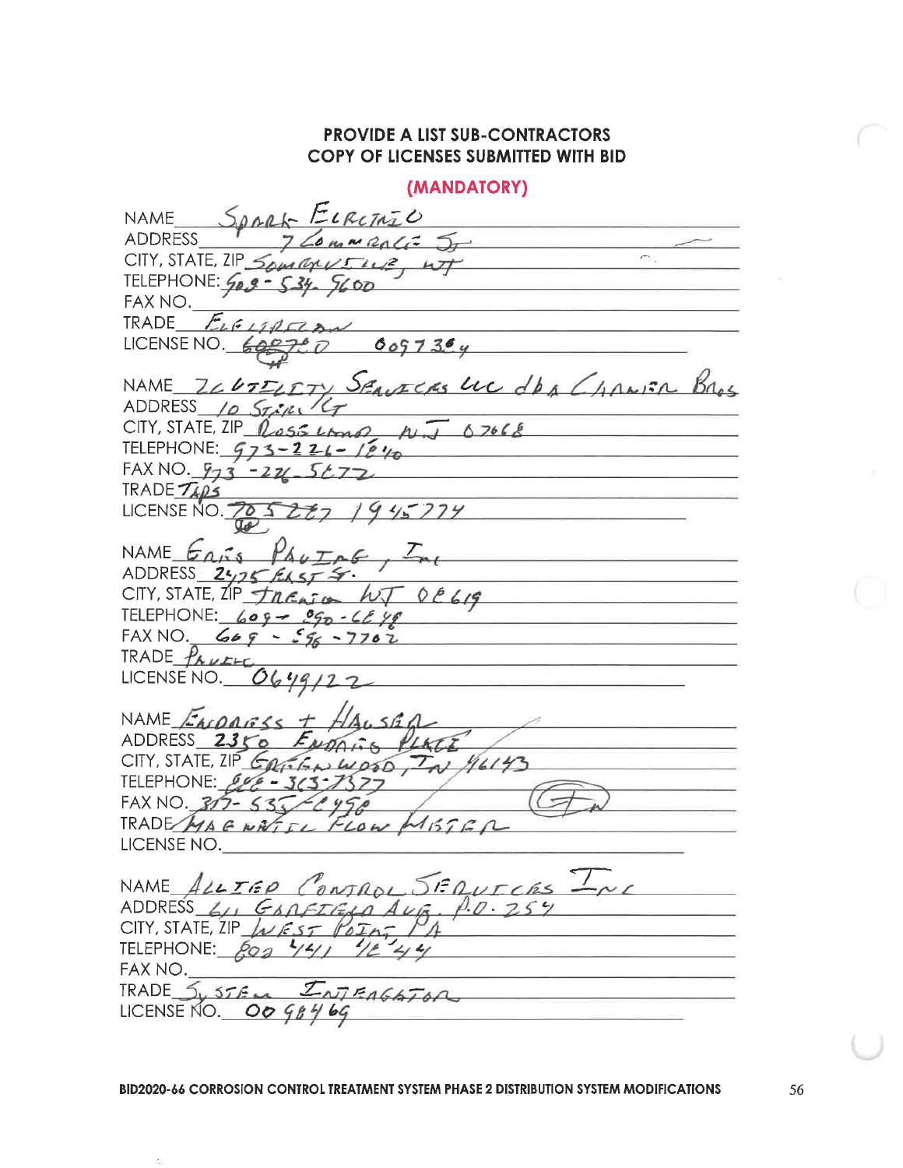(MANDATORY) SORRA ELRITAZO **NAME** OMNRALE ST **ADDRESS**  $\overline{\phantom{a}}$ CITY, STATE, ZIP Suraus  $12.47$ TELEPHONE: 50 FAX NO.  $E_4$  6  $\mu$ TRADE LICENSE NO.  $6097394$ LETY SEMECRS LUC dbs Change Base NAME  $7667$ ADDRESS 10 STIRIKT  $CITY$ , STATE,  $ZIP$   $255$   $402$  $0.7666$ TELEPHONE:  $973 - 226 - 1240$ FAX NO.  $973 - 221$ TRADE TAPS  $15774$ LICENSE NO. NAME  $G_{\Lambda}$ <sub>155</sub> ADDRESS 2475  $L_{A5}f$ CITY, STATE, IP TREASED WT DE619 TELEPHONE:  $609 - 090 - 609$ FAX NO.  $669 - 56 - 7702$ TRADE PAULLE LICENSE NO. NAME *EACORELS* ADDRESS 2350 ENDALLS PLAT CITY, STATE, ZIP Caribal Wood,  $T_{A1}$  /6/43 TELEPHONE: 640 - 363 FAX NO. 317-53 TRADE MAGNATIL  $45762$  $1112$ LICENSE NO. NAME ALLIED CONTROL SERVITERS ADDRESS  $41, G$ ARETELA AUG. P.O. 254 CITY, STATE, ZIP  $L$  EST POINT TELEPHONE:  $809$  441 12 44 FAX NO.  $I_{NTFAGAT0A}$  $TRADE$   $5.575m$ LICENSE NO. OO 98469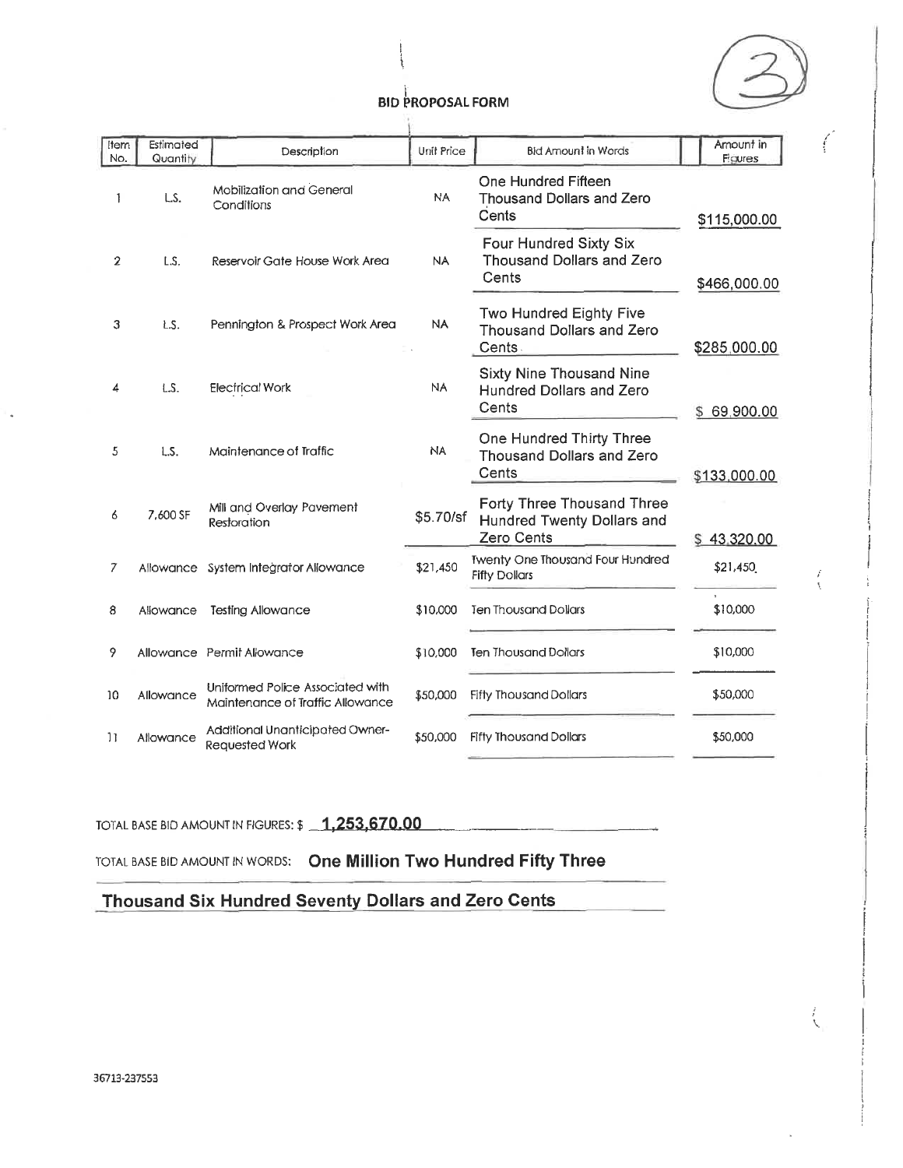

 $\overline{\ell}$ 

| <b>Item</b><br>No. | Estimated<br>Quantity | Description                                                          | Unit Price | <b>Bid Amount in Words</b>                                                    | Amount in<br>Figures |
|--------------------|-----------------------|----------------------------------------------------------------------|------------|-------------------------------------------------------------------------------|----------------------|
| 1                  | LS.                   | <b>Mobilization and General</b><br>Conditions                        | NA         | One Hundred Fifteen<br><b>Thousand Dollars and Zero</b><br>Cents              | \$115,000.00         |
| 2                  | L.S.                  | Reservoir Gate House Work Area                                       | NA.        | Four Hundred Sixty Six<br>Thousand Dollars and Zero<br>Cents                  | \$466,000.00         |
| 3                  | LS.                   | Pennington & Prospect Work Area                                      | <b>NA</b>  | Two Hundred Eighty Five<br>Thousand Dollars and Zero<br>Cents.                | \$285,000.00         |
|                    | LS.                   | <b>Electrical Work</b>                                               | <b>NA</b>  | Sixty Nine Thousand Nine<br><b>Hundred Dollars and Zero</b><br>Cents          | \$69,900.00          |
| 5                  | L.S.                  | Maintenance of Traffic                                               | <b>NA</b>  | One Hundred Thirty Three<br>Thousand Dollars and Zero<br>Cents                | \$133,000.00         |
| 6                  | 7.600 SF              | Mill and Overlay Pavement<br>Restoration                             | \$5.70/sf  | Forty Three Thousand Three<br>Hundred Twenty Dollars and<br><b>Zero Cents</b> | \$43,320.00          |
| 7                  |                       | Allowance System Integrator Allowance                                | \$21,450   | <b>Twenty One Thousand Four Hundred</b><br><b>Fifty Dollars</b>               | \$21,450             |
| 8                  | Allowance             | <b>Testing Allowance</b>                                             | \$10,000   | <b>Ten Thousand Dollars</b>                                                   | \$10,000             |
| 9                  |                       | Allowance Permit Allowance                                           | \$10,000   | <b>Ten Thousand Dollars</b>                                                   | \$10,000             |
| 10                 | Allowance             | Uniformed Police Associated with<br>Maintenance of Traffic Allowance | \$50,000   | <b>Fifty Thousand Dollars</b>                                                 | \$50,000             |
| $\overline{11}$    | Allowance             | Additional Unanticipated Owner-<br>Requested Work                    | \$50,000   | <b>Fifty Thousand Dollars</b>                                                 | \$50,000             |
|                    |                       |                                                                      |            |                                                                               |                      |

# TOTAL BASE BID AMOUNT IN FIGURES: \$ 1,253,670.00

TOTAL BASE BID AMOUNT IN WORDS: One Million Two Hundred Fifty Three

Thousand Six Hundred Seventy Dollars and Zero Cents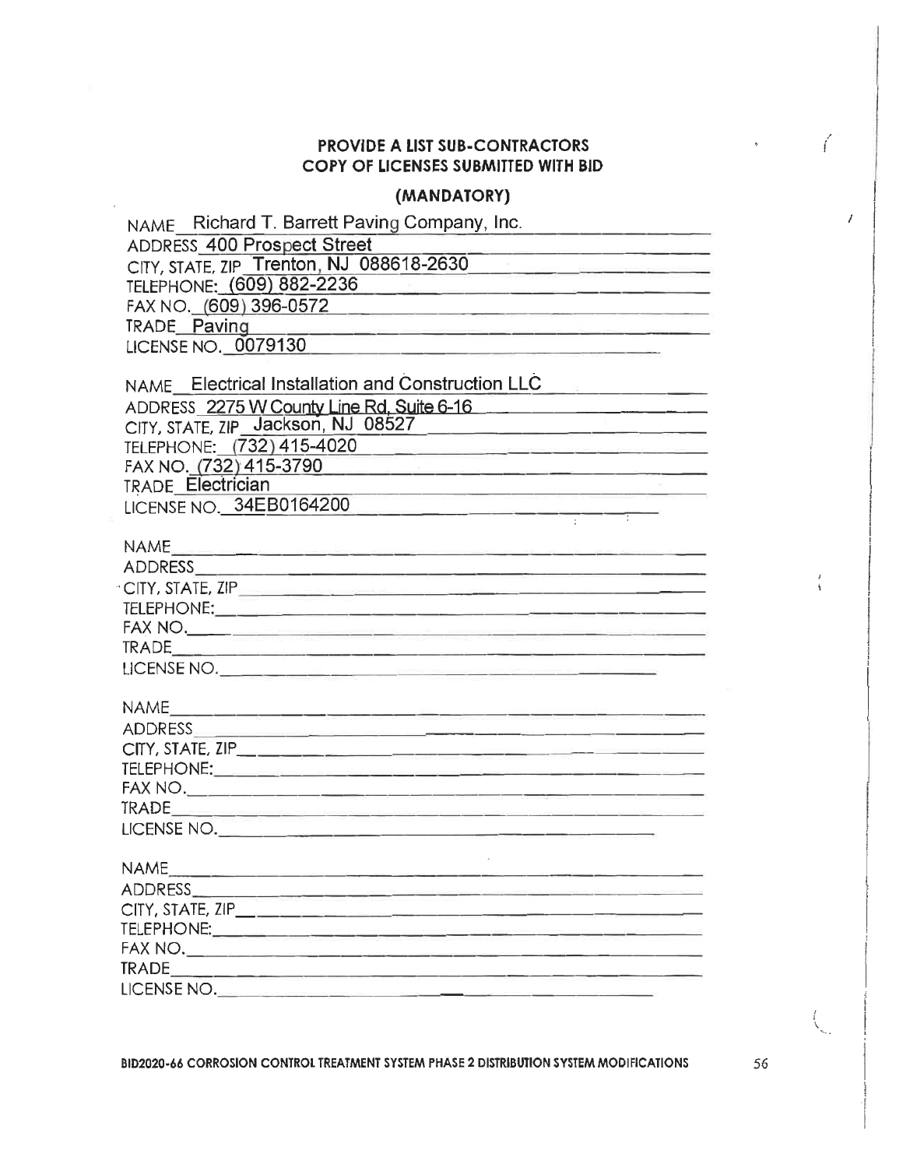## (MANDATORY)

| NAME Richard T. Barrett Paving Company, Inc.                                                                                                                                                                                   |
|--------------------------------------------------------------------------------------------------------------------------------------------------------------------------------------------------------------------------------|
| <b>ADDRESS 400 Prospect Street</b>                                                                                                                                                                                             |
| CITY, STATE, ZIP Trenton, NJ 088618-2630                                                                                                                                                                                       |
| TELEPHONE: (609) 882-2236                                                                                                                                                                                                      |
| FAX NO. (609) 396-0572 2000 2000 2010 2020 2030 2040 2050 2060 2071 2080 2091 2000 2010 2010 2010 2010 2010 20                                                                                                                 |
|                                                                                                                                                                                                                                |
| LICENSE NO. 0079130<br><u> 1980 - Jan Berlin, mars eta bat zuen erroma eragin ezkin zituen erroma ezkin zituen erroma ezkin zituen erroma</u>                                                                                  |
| NAME Electrical Installation and Construction LLC<br>and the company of the company of the                                                                                                                                     |
| ADDRESS 2275 W County Line Rd, Suite 6-16                                                                                                                                                                                      |
| CITY, STATE, ZIP Jackson, NJ 08527                                                                                                                                                                                             |
| TELEPHONE: (732) 415-4020<br><u> 1980 - Jan James Jack, martin Carl American (d. 1989)</u>                                                                                                                                     |
| FAX NO. (732) 415-3790<br><u> 1988 - Anna 1988 - Anna 1989 - Anna 1989 - Anna 1989 - Anna 1989 - Anna 1989 - Anna 1989 - Anna 1989 - Anna 1</u>                                                                                |
| <b>TRADE Electrician</b>                                                                                                                                                                                                       |
| LICENSE NO. 34EB0164200                                                                                                                                                                                                        |
|                                                                                                                                                                                                                                |
|                                                                                                                                                                                                                                |
|                                                                                                                                                                                                                                |
|                                                                                                                                                                                                                                |
|                                                                                                                                                                                                                                |
|                                                                                                                                                                                                                                |
|                                                                                                                                                                                                                                |
|                                                                                                                                                                                                                                |
|                                                                                                                                                                                                                                |
| ADDRESS AND RESS AND A CONTROL CONTROL CONTROL CONTROL CONTROL CONTROL CONTROL CONTROL CONTROL CONTROL CONTROL CONTROL CONTROL CONTROL CONTROL CONTROL CONTROL CONTROL CONTROL CONTROL CONTROL CONTROL CONTROL CONTROL CONTROL |
|                                                                                                                                                                                                                                |
|                                                                                                                                                                                                                                |
|                                                                                                                                                                                                                                |
|                                                                                                                                                                                                                                |
| LICENSE NO.                                                                                                                                                                                                                    |
| <b>NAME</b>                                                                                                                                                                                                                    |
|                                                                                                                                                                                                                                |
|                                                                                                                                                                                                                                |
|                                                                                                                                                                                                                                |
|                                                                                                                                                                                                                                |
|                                                                                                                                                                                                                                |
| LICENSE NO.                                                                                                                                                                                                                    |

BID2020-66 CORROSION CONTROL TREATMENT SYSTEM PHASE 2 DISTRIBUTION SYSTEM MODIFICATIONS

56

 $\bigg($ 

I

 $\bar{\rm s}$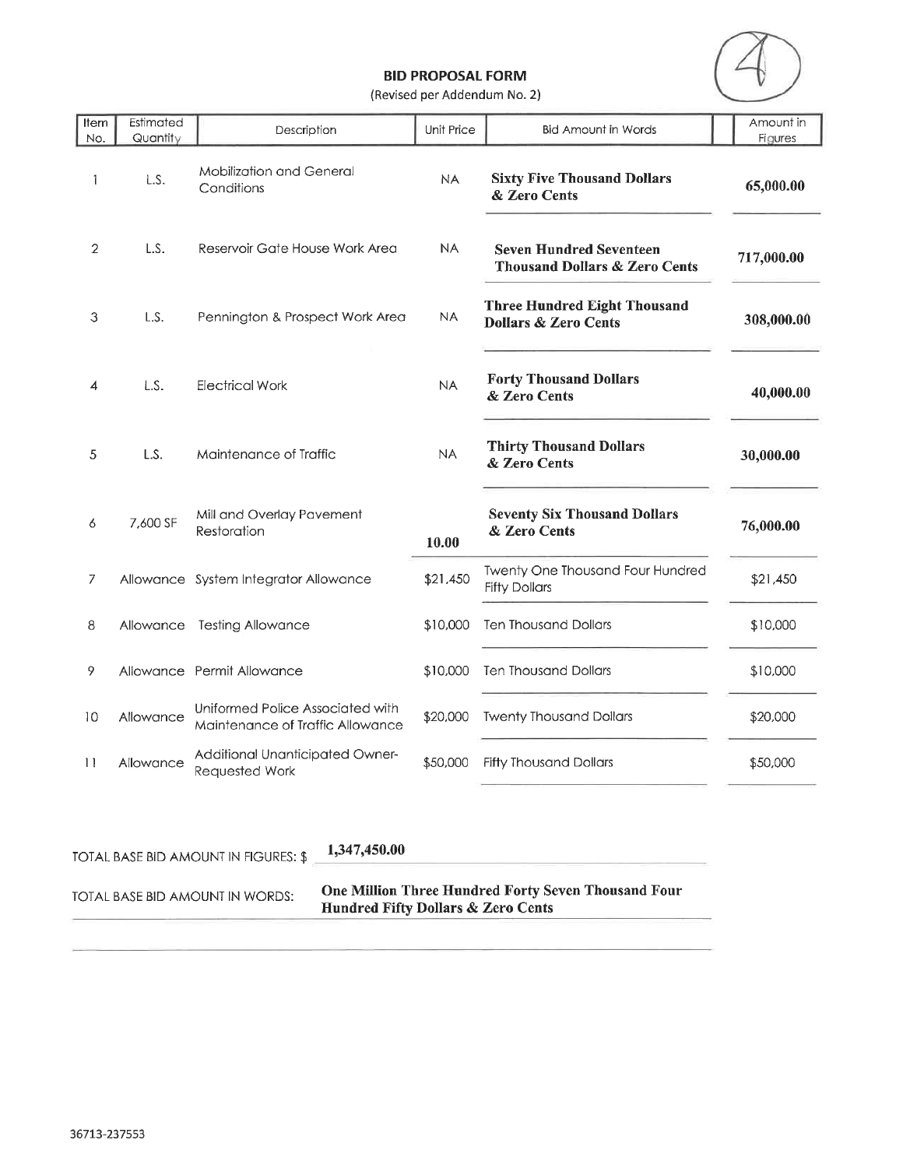

(Revised per Addendum No. 2)

| Item<br>No.     | Estimated<br>Quantity | Description                                                          | Unit Price | <b>Bid Amount in Words</b>                                                 | Amount in<br>Figures |
|-----------------|-----------------------|----------------------------------------------------------------------|------------|----------------------------------------------------------------------------|----------------------|
| 1               | L.S.                  | Mobilization and General<br>Conditions                               | <b>NA</b>  | <b>Sixty Five Thousand Dollars</b><br>& Zero Cents                         | 65,000.00            |
| $\overline{2}$  | L.S.                  | Reservoir Gate House Work Area                                       | <b>NA</b>  | <b>Seven Hundred Seventeen</b><br><b>Thousand Dollars &amp; Zero Cents</b> | 717,000.00           |
| 3               | L.S.                  | Pennington & Prospect Work Area                                      | <b>NA</b>  | <b>Three Hundred Eight Thousand</b><br><b>Dollars &amp; Zero Cents</b>     | 308,000.00           |
| 4               | L.S.                  | Electrical Work                                                      | <b>NA</b>  | <b>Forty Thousand Dollars</b><br>& Zero Cents                              | 40,000.00            |
| 5               | L.S.                  | Maintenance of Traffic                                               | <b>NA</b>  | <b>Thirty Thousand Dollars</b><br>& Zero Cents                             | 30,000.00            |
| 6               | 7,600 SF              | Mill and Overlay Pavement<br>Restoration                             | 10.00      | <b>Seventy Six Thousand Dollars</b><br>& Zero Cents                        | 76,000.00            |
| 7               |                       | Allowance System Integrator Allowance                                | \$21,450   | Twenty One Thousand Four Hundred<br><b>Fifty Dollars</b>                   | \$21,450             |
| 8               | Allowance             | <b>Testing Allowance</b>                                             | \$10,000   | <b>Ten Thousand Dollars</b>                                                | \$10,000             |
| 9               |                       | Allowance Permit Allowance                                           | \$10,000   | <b>Ten Thousand Dollars</b>                                                | \$10,000             |
| 10              | Allowance             | Uniformed Police Associated with<br>Maintenance of Traffic Allowance | \$20,000   | <b>Twenty Thousand Dollars</b>                                             | \$20,000             |
| $\overline{11}$ | Allowance             | Additional Unanticipated Owner-<br>Requested Work                    | \$50,000   | <b>Fifty Thousand Dollars</b>                                              | \$50,000             |

TOTAL BASE BID AMOUNT IN FIGURES: \$

1,347,450.00

TOTAL BASE BID AMOUNT IN WORDS:

One Million Three Hundred Forty Seven Thousand Four<br>Hundred Fifty Dollars & Zero Cents